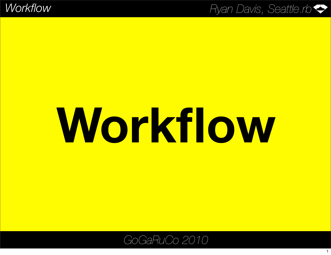# **Workflow**

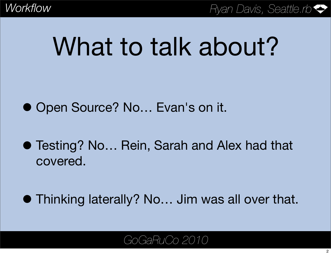## What to talk about?

● Open Source? No... Evan's on it.

- Testing? No... Rein, Sarah and Alex had that covered.
- Thinking laterally? No… Jim was all over that.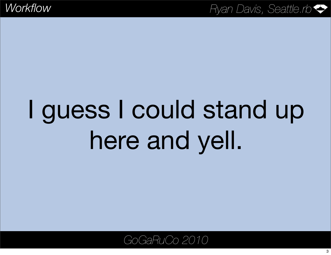## I guess I could stand up here and yell.

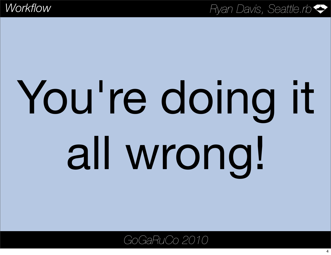# You're doing it all wrong!

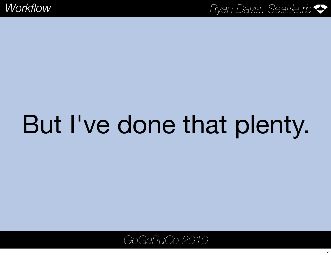## But I've done that plenty.

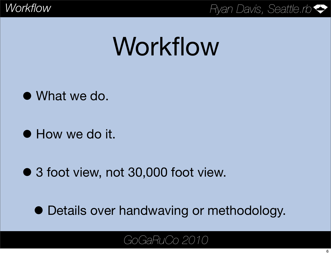## Workflow

- What we do.
- How we do it.
- 3 foot view, not 30,000 foot view.

• Details over handwaving or methodology.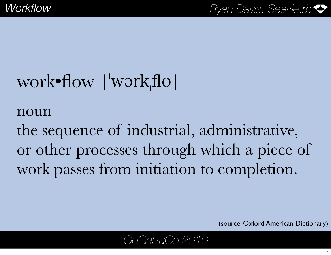## work•flow |'wərkˌflō|

#### noun

the sequence of industrial, administrative, or other processes through which a piece of work passes from initiation to completion.

(source: Oxford American Dictionary)

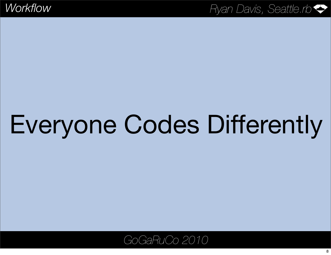## Everyone Codes Differently

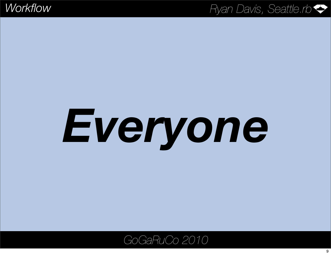# *Everyone*

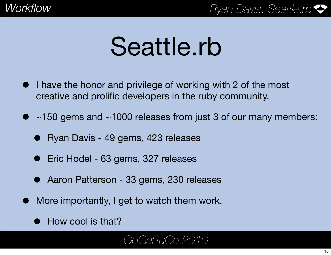## Seattle.rb

- I have the honor and privilege of working with 2 of the most creative and prolific developers in the ruby community.
- $\bullet$  ~150 gems and ~1000 releases from just 3 of our many members:
	- Ryan Davis 49 gems, 423 releases
	- Eric Hodel 63 gems, 327 releases
	- Aaron Patterson 33 gems, 230 releases
- More importantly, I get to watch them work.
	- How cool is that?

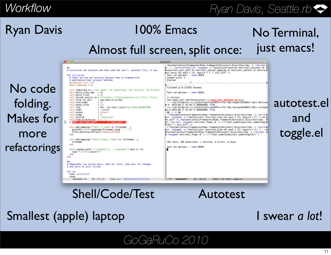### Ryan Davis

## 100% Emacs

Almost full screen, split once:

### No Terminal, just emacs!

No code folding. Makes for more refactorings



Shell/Code/Test Autotest

Smallest (apple) laptop

#### I swear *a lot*!

and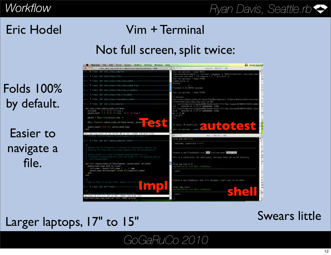### Eric Hodel

### Vim + Terminal

#### Not full screen, split twice:

### Folds 100% by default.

#### Easier to navigate a file.



#### Swears little

#### Larger laptops, 17" to 15"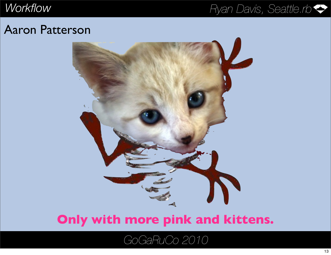#### Aaron Patterson



#### **Only with more pink and kittens.**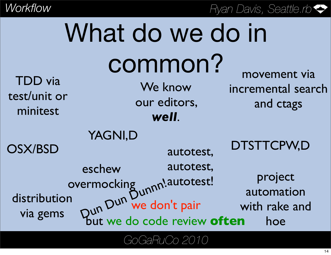| What do we do in                           |                                                                                                                |                                                 |  |  |
|--------------------------------------------|----------------------------------------------------------------------------------------------------------------|-------------------------------------------------|--|--|
| <b>TDD</b> via<br>test/unit or<br>minitest | common?<br>We know<br>our editors,<br>well.                                                                    | movement via<br>incremental search<br>and ctags |  |  |
| <b>OSX/BSD</b>                             | YAGNI,D<br>autotest,                                                                                           | DTSTTCPW,D                                      |  |  |
| distribution<br>via gems                   | autotest,<br>eschew<br>ermocking<br>Dun Dun We don't pair<br>but we do code review <b>often</b><br>overmocking | project<br>automation<br>with rake and<br>hoe   |  |  |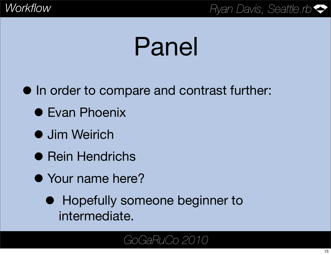## Panel

• In order to compare and contrast further:

- **Evan Phoenix**
- **Jim Weirich**
- **Rein Hendrichs**
- Your name here?
	- **Hopefully someone beginner to** intermediate.

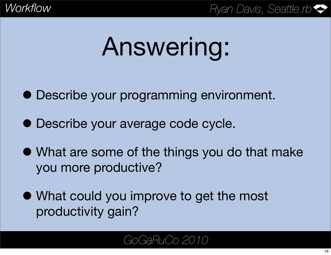## Answering:

- Describe your programming environment.
- Describe your average code cycle.
- What are some of the things you do that make you more productive?
- What could you improve to get the most productivity gain?

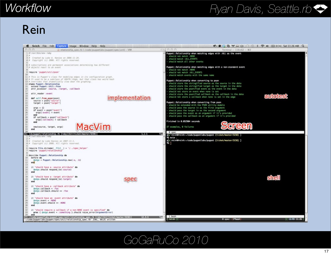#### Rein

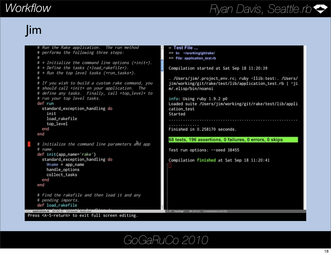### Jim

```
= Test File ...
    # Run the Rake application. The run method
    # performs the following three steps:
                                                               == In: ~/working/git/rake/
    #== File: application_test.rb
    # * Initialize the command line options (+init+).
    # * Define the tasks (+load_rakefile+).
                                                               Compilation started at Sat Sep 18 11:20:39
    # * Run the top level tasks (+run_tasks+).
                                                               . /Users/jim/.project_env.rc; ruby -Ilib:test:. /Users/
    # If you wish to build a custom rake command, you
                                                               jim/working/git/rake/test/lib/application_test.rb | ~ji
    # should call +init+ on your application. The
                                                               m/.elisp/bin/noansi
    # define any tasks. Finally, call +top_level+ to
    # run your top level tasks.
                                                               info: Using ruby 1.9.2 p0
    def run
                                                               Loaded suite /Users/jim/working/git/rake/test/lib/appli
      standard_exception_handling do
                                                               cation_test
        init
                                                               Started
        load_rakefile
        top_level
      end
                                                               Finished in 0.258170 seconds.
    end
                                                               68 tests, 196 assertions, 0 failures, 0 errors, 0 skips
    # Initialize the command line parameters and app
    # name.Test run options: --seed 38455
    def init(app_name='rake')
      standard_exception_handling do
                                                               Compilation finished at Sat Sep 18 11:20:41
        @name = app_namehandle_options
        collect_tasks
      end
    end
    # Find the rakefile and then load it and any
    # pending imports.
    def load_rakefile
-- application.rb 8% (67,0) Gitmaster (Ruby yas)
                                                              1:%* "testing"
Press <A-S-return> to exit full screen editing.
```
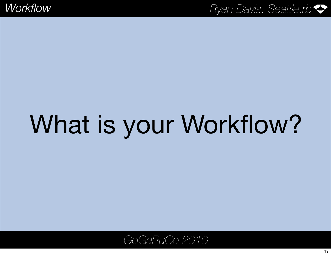# What is your Workflow?

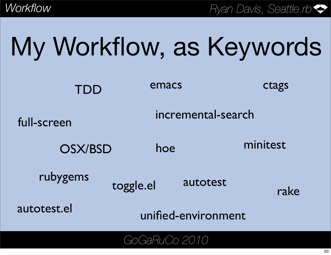|  | My Workflow, as Keywords |
|--|--------------------------|
|  |                          |

| TDD            | emacs               | ctags            |  |
|----------------|---------------------|------------------|--|
| full-screen    | incremental-search  |                  |  |
| <b>OSX/BSD</b> | hoe                 | minitest         |  |
| rubygems       | toggle.el           | autotest<br>rake |  |
| autotest.el    | unified-environment |                  |  |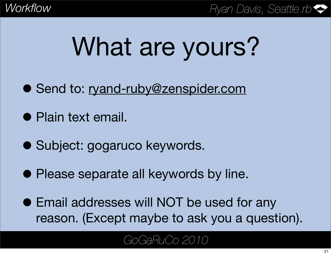## What are yours?

- Send to: [ryand-ruby@zenspider.com](mailto:ryand-goruco@zenspider.com)
- Plain text email.
- Subject: gogaruco keywords.
- Please separate all keywords by line.
- Email addresses will NOT be used for any reason. (Except maybe to ask you a question).